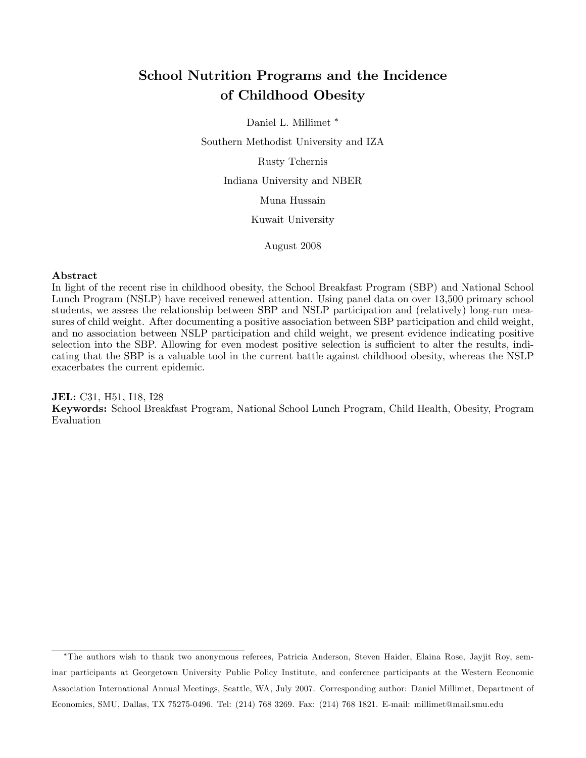# School Nutrition Programs and the Incidence of Childhood Obesity

Daniel L. Millimet

Southern Methodist University and IZA

Rusty Tchernis

Indiana University and NBER

Muna Hussain

Kuwait University

August 2008

#### Abstract

In light of the recent rise in childhood obesity, the School Breakfast Program (SBP) and National School Lunch Program (NSLP) have received renewed attention. Using panel data on over 13,500 primary school students, we assess the relationship between SBP and NSLP participation and (relatively) long-run measures of child weight. After documenting a positive association between SBP participation and child weight, and no association between NSLP participation and child weight, we present evidence indicating positive selection into the SBP. Allowing for even modest positive selection is sufficient to alter the results, indicating that the SBP is a valuable tool in the current battle against childhood obesity, whereas the NSLP exacerbates the current epidemic.

JEL: C31, H51, I18, I28 Keywords: School Breakfast Program, National School Lunch Program, Child Health, Obesity, Program Evaluation

The authors wish to thank two anonymous referees, Patricia Anderson, Steven Haider, Elaina Rose, Jayjit Roy, seminar participants at Georgetown University Public Policy Institute, and conference participants at the Western Economic Association International Annual Meetings, Seattle, WA, July 2007. Corresponding author: Daniel Millimet, Department of Economics, SMU, Dallas, TX 75275-0496. Tel: (214) 768 3269. Fax: (214) 768 1821. E-mail: millimet@mail.smu.edu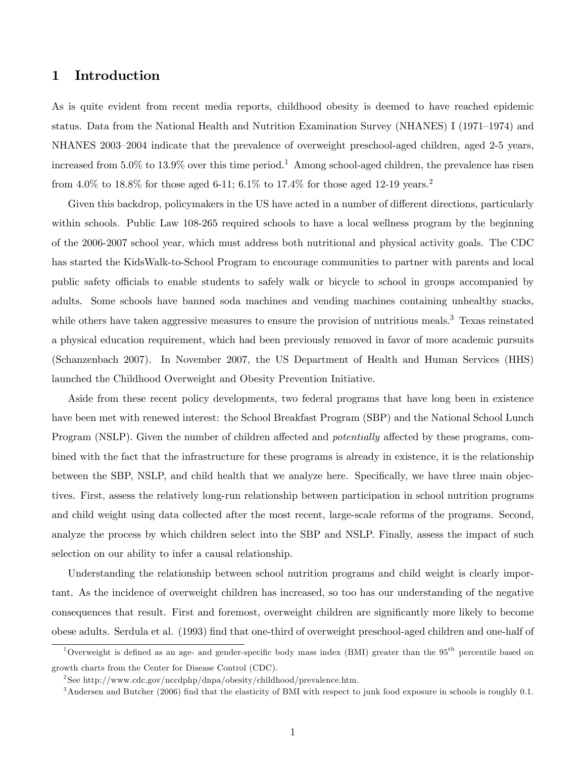### 1 Introduction

As is quite evident from recent media reports, childhood obesity is deemed to have reached epidemic status. Data from the National Health and Nutrition Examination Survey (NHANES) I (1971–1974) and NHANES 2003–2004 indicate that the prevalence of overweight preschool-aged children, aged 2-5 years, increased from 5.0% to 13.9% over this time period.<sup>1</sup> Among school-aged children, the prevalence has risen from 4.0% to 18.8% for those aged 6-11; 6.1% to 17.4% for those aged 12-19 years.<sup>2</sup>

Given this backdrop, policymakers in the US have acted in a number of different directions, particularly within schools. Public Law 108-265 required schools to have a local wellness program by the beginning of the 2006-2007 school year, which must address both nutritional and physical activity goals. The CDC has started the KidsWalk-to-School Program to encourage communities to partner with parents and local public safety officials to enable students to safely walk or bicycle to school in groups accompanied by adults. Some schools have banned soda machines and vending machines containing unhealthy snacks, while others have taken aggressive measures to ensure the provision of nutritious meals.<sup>3</sup> Texas reinstated a physical education requirement, which had been previously removed in favor of more academic pursuits (Schanzenbach 2007). In November 2007, the US Department of Health and Human Services (HHS) launched the Childhood Overweight and Obesity Prevention Initiative.

Aside from these recent policy developments, two federal programs that have long been in existence have been met with renewed interest: the School Breakfast Program (SBP) and the National School Lunch Program (NSLP). Given the number of children affected and *potentially* affected by these programs, combined with the fact that the infrastructure for these programs is already in existence, it is the relationship between the SBP, NSLP, and child health that we analyze here. Specifically, we have three main objectives. First, assess the relatively long-run relationship between participation in school nutrition programs and child weight using data collected after the most recent, large-scale reforms of the programs. Second, analyze the process by which children select into the SBP and NSLP. Finally, assess the impact of such selection on our ability to infer a causal relationship.

Understanding the relationship between school nutrition programs and child weight is clearly important. As the incidence of overweight children has increased, so too has our understanding of the negative consequences that result. First and foremost, overweight children are significantly more likely to become obese adults. Serdula et al. (1993) Önd that one-third of overweight preschool-aged children and one-half of

<sup>&</sup>lt;sup>1</sup>Overweight is defined as an age- and gender-specific body mass index (BMI) greater than the 95<sup>th</sup> percentile based on growth charts from the Center for Disease Control (CDC).

<sup>&</sup>lt;sup>2</sup>See http://www.cdc.gov/nccdphp/dnpa/obesity/childhood/prevalence.htm.

 $3$ Andersen and Butcher (2006) find that the elasticity of BMI with respect to junk food exposure in schools is roughly 0.1.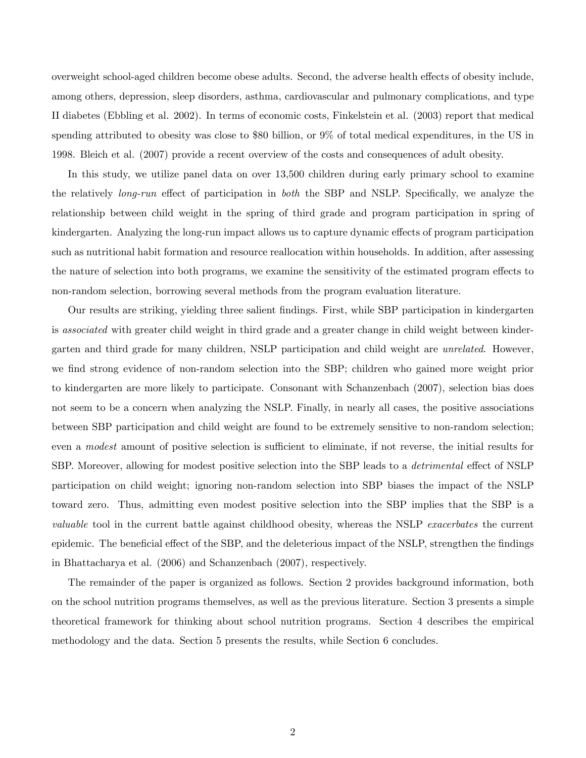overweight school-aged children become obese adults. Second, the adverse health effects of obesity include, among others, depression, sleep disorders, asthma, cardiovascular and pulmonary complications, and type II diabetes (Ebbling et al. 2002). In terms of economic costs, Finkelstein et al. (2003) report that medical spending attributed to obesity was close to \$80 billion, or 9% of total medical expenditures, in the US in 1998. Bleich et al. (2007) provide a recent overview of the costs and consequences of adult obesity.

In this study, we utilize panel data on over 13,500 children during early primary school to examine the relatively *long-run* effect of participation in *both* the SBP and NSLP. Specifically, we analyze the relationship between child weight in the spring of third grade and program participation in spring of kindergarten. Analyzing the long-run impact allows us to capture dynamic effects of program participation such as nutritional habit formation and resource reallocation within households. In addition, after assessing the nature of selection into both programs, we examine the sensitivity of the estimated program effects to non-random selection, borrowing several methods from the program evaluation literature.

Our results are striking, yielding three salient Öndings. First, while SBP participation in kindergarten is associated with greater child weight in third grade and a greater change in child weight between kindergarten and third grade for many children, NSLP participation and child weight are unrelated. However, we find strong evidence of non-random selection into the SBP; children who gained more weight prior to kindergarten are more likely to participate. Consonant with Schanzenbach (2007), selection bias does not seem to be a concern when analyzing the NSLP. Finally, in nearly all cases, the positive associations between SBP participation and child weight are found to be extremely sensitive to non-random selection; even a *modest* amount of positive selection is sufficient to eliminate, if not reverse, the initial results for SBP. Moreover, allowing for modest positive selection into the SBP leads to a *detrimental* effect of NSLP participation on child weight; ignoring non-random selection into SBP biases the impact of the NSLP toward zero. Thus, admitting even modest positive selection into the SBP implies that the SBP is a valuable tool in the current battle against childhood obesity, whereas the NSLP exacerbates the current epidemic. The beneficial effect of the SBP, and the deleterious impact of the NSLP, strengthen the findings in Bhattacharya et al. (2006) and Schanzenbach (2007), respectively.

The remainder of the paper is organized as follows. Section 2 provides background information, both on the school nutrition programs themselves, as well as the previous literature. Section 3 presents a simple theoretical framework for thinking about school nutrition programs. Section 4 describes the empirical methodology and the data. Section 5 presents the results, while Section 6 concludes.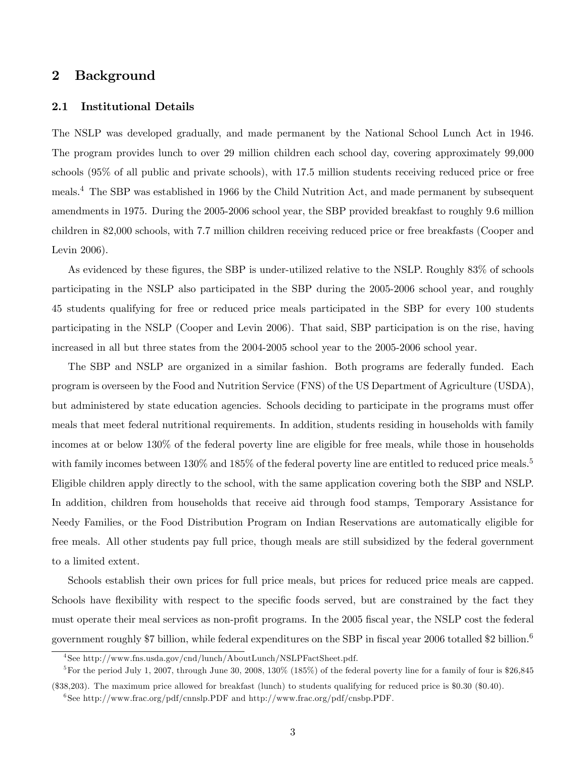### 2 Background

#### 2.1 Institutional Details

The NSLP was developed gradually, and made permanent by the National School Lunch Act in 1946. The program provides lunch to over 29 million children each school day, covering approximately 99,000 schools (95% of all public and private schools), with 17.5 million students receiving reduced price or free meals.<sup>4</sup> The SBP was established in 1966 by the Child Nutrition Act, and made permanent by subsequent amendments in 1975. During the 2005-2006 school year, the SBP provided breakfast to roughly 9.6 million children in 82,000 schools, with 7.7 million children receiving reduced price or free breakfasts (Cooper and Levin 2006).

As evidenced by these figures, the SBP is under-utilized relative to the NSLP. Roughly 83% of schools participating in the NSLP also participated in the SBP during the 2005-2006 school year, and roughly 45 students qualifying for free or reduced price meals participated in the SBP for every 100 students participating in the NSLP (Cooper and Levin 2006). That said, SBP participation is on the rise, having increased in all but three states from the 2004-2005 school year to the 2005-2006 school year.

The SBP and NSLP are organized in a similar fashion. Both programs are federally funded. Each program is overseen by the Food and Nutrition Service (FNS) of the US Department of Agriculture (USDA), but administered by state education agencies. Schools deciding to participate in the programs must offer meals that meet federal nutritional requirements. In addition, students residing in households with family incomes at or below 130% of the federal poverty line are eligible for free meals, while those in households with family incomes between  $130\%$  and  $185\%$  of the federal poverty line are entitled to reduced price meals.<sup>5</sup> Eligible children apply directly to the school, with the same application covering both the SBP and NSLP. In addition, children from households that receive aid through food stamps, Temporary Assistance for Needy Families, or the Food Distribution Program on Indian Reservations are automatically eligible for free meals. All other students pay full price, though meals are still subsidized by the federal government to a limited extent.

Schools establish their own prices for full price meals, but prices for reduced price meals are capped. Schools have flexibility with respect to the specific foods served, but are constrained by the fact they must operate their meal services as non-profit programs. In the 2005 fiscal year, the NSLP cost the federal government roughly \$7 billion, while federal expenditures on the SBP in fiscal year 2006 totalled \$2 billion.<sup>6</sup>

<sup>4</sup> See http://www.fns.usda.gov/cnd/lunch/AboutLunch/NSLPFactSheet.pdf.

<sup>&</sup>lt;sup>5</sup>For the period July 1, 2007, through June 30, 2008, 130% (185%) of the federal poverty line for a family of four is \$26,845

<sup>(\$38,203).</sup> The maximum price allowed for breakfast (lunch) to students qualifying for reduced price is \$0.30 (\$0.40).

 $^{6}$ See http://www.frac.org/pdf/cnnslp.PDF and http://www.frac.org/pdf/cnsbp.PDF.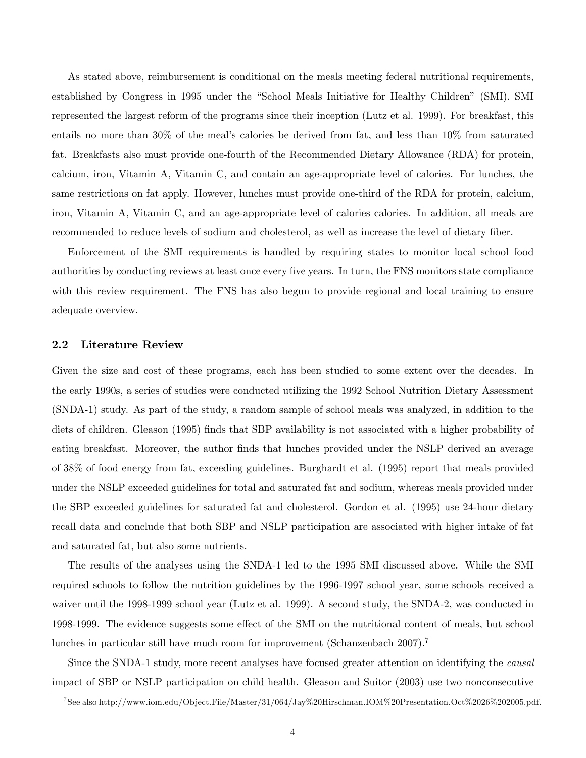As stated above, reimbursement is conditional on the meals meeting federal nutritional requirements, established by Congress in 1995 under the "School Meals Initiative for Healthy Children" (SMI). SMI represented the largest reform of the programs since their inception (Lutz et al. 1999). For breakfast, this entails no more than  $30\%$  of the meal's calories be derived from fat, and less than  $10\%$  from saturated fat. Breakfasts also must provide one-fourth of the Recommended Dietary Allowance (RDA) for protein, calcium, iron, Vitamin A, Vitamin C, and contain an age-appropriate level of calories. For lunches, the same restrictions on fat apply. However, lunches must provide one-third of the RDA for protein, calcium, iron, Vitamin A, Vitamin C, and an age-appropriate level of calories calories. In addition, all meals are recommended to reduce levels of sodium and cholesterol, as well as increase the level of dietary fiber.

Enforcement of the SMI requirements is handled by requiring states to monitor local school food authorities by conducting reviews at least once every five years. In turn, the FNS monitors state compliance with this review requirement. The FNS has also begun to provide regional and local training to ensure adequate overview.

### 2.2 Literature Review

Given the size and cost of these programs, each has been studied to some extent over the decades. In the early 1990s, a series of studies were conducted utilizing the 1992 School Nutrition Dietary Assessment (SNDA-1) study. As part of the study, a random sample of school meals was analyzed, in addition to the diets of children. Gleason (1995) finds that SBP availability is not associated with a higher probability of eating breakfast. Moreover, the author finds that lunches provided under the NSLP derived an average of 38% of food energy from fat, exceeding guidelines. Burghardt et al. (1995) report that meals provided under the NSLP exceeded guidelines for total and saturated fat and sodium, whereas meals provided under the SBP exceeded guidelines for saturated fat and cholesterol. Gordon et al. (1995) use 24-hour dietary recall data and conclude that both SBP and NSLP participation are associated with higher intake of fat and saturated fat, but also some nutrients.

The results of the analyses using the SNDA-1 led to the 1995 SMI discussed above. While the SMI required schools to follow the nutrition guidelines by the 1996-1997 school year, some schools received a waiver until the 1998-1999 school year (Lutz et al. 1999). A second study, the SNDA-2, was conducted in 1998-1999. The evidence suggests some effect of the SMI on the nutritional content of meals, but school lunches in particular still have much room for improvement (Schanzenbach  $2007$ ).<sup>7</sup>

Since the SNDA-1 study, more recent analyses have focused greater attention on identifying the causal impact of SBP or NSLP participation on child health. Gleason and Suitor (2003) use two nonconsecutive

<sup>7</sup> See also http://www.iom.edu/Object.File/Master/31/064/Jay%20Hirschman.IOM%20Presentation.Oct%2026%202005.pdf.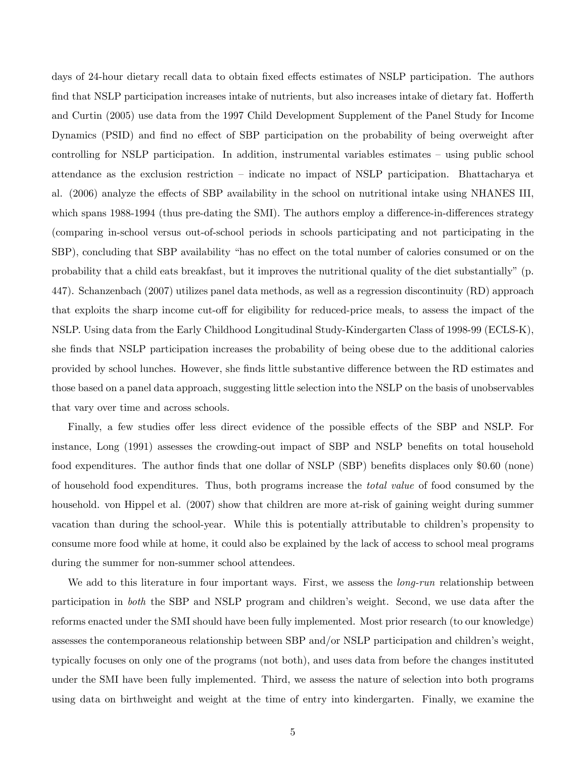days of 24-hour dietary recall data to obtain fixed effects estimates of NSLP participation. The authors find that NSLP participation increases intake of nutrients, but also increases intake of dietary fat. Hofferth and Curtin (2005) use data from the 1997 Child Development Supplement of the Panel Study for Income Dynamics (PSID) and find no effect of SBP participation on the probability of being overweight after controlling for NSLP participation. In addition, instrumental variables estimates  $-$  using public school attendance as the exclusion restriction – indicate no impact of NSLP participation. Bhattacharya et al. (2006) analyze the effects of SBP availability in the school on nutritional intake using NHANES III, which spans 1988-1994 (thus pre-dating the SMI). The authors employ a difference-in-differences strategy (comparing in-school versus out-of-school periods in schools participating and not participating in the SBP), concluding that SBP availability "has no effect on the total number of calories consumed or on the probability that a child eats breakfast, but it improves the nutritional quality of the diet substantially" (p. 447). Schanzenbach (2007) utilizes panel data methods, as well as a regression discontinuity (RD) approach that exploits the sharp income cut-off for eligibility for reduced-price meals, to assess the impact of the NSLP. Using data from the Early Childhood Longitudinal Study-Kindergarten Class of 1998-99 (ECLS-K), she finds that NSLP participation increases the probability of being obese due to the additional calories provided by school lunches. However, she finds little substantive difference between the RD estimates and those based on a panel data approach, suggesting little selection into the NSLP on the basis of unobservables that vary over time and across schools.

Finally, a few studies offer less direct evidence of the possible effects of the SBP and NSLP. For instance, Long (1991) assesses the crowding-out impact of SBP and NSLP benefits on total household food expenditures. The author finds that one dollar of NSLP (SBP) benefits displaces only \$0.60 (none) of household food expenditures. Thus, both programs increase the total value of food consumed by the household. von Hippel et al. (2007) show that children are more at-risk of gaining weight during summer vacation than during the school-year. While this is potentially attributable to children's propensity to consume more food while at home, it could also be explained by the lack of access to school meal programs during the summer for non-summer school attendees.

We add to this literature in four important ways. First, we assess the *long-run* relationship between participation in *both* the SBP and NSLP program and children's weight. Second, we use data after the reforms enacted under the SMI should have been fully implemented. Most prior research (to our knowledge) assesses the contemporaneous relationship between SBP and/or NSLP participation and children's weight, typically focuses on only one of the programs (not both), and uses data from before the changes instituted under the SMI have been fully implemented. Third, we assess the nature of selection into both programs using data on birthweight and weight at the time of entry into kindergarten. Finally, we examine the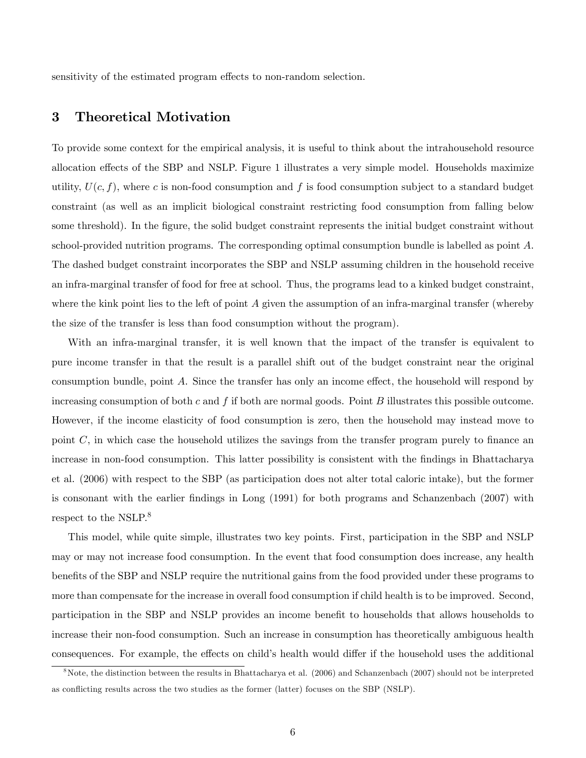sensitivity of the estimated program effects to non-random selection.

## 3 Theoretical Motivation

To provide some context for the empirical analysis, it is useful to think about the intrahousehold resource allocation effects of the SBP and NSLP. Figure 1 illustrates a very simple model. Households maximize utility,  $U(c, f)$ , where c is non-food consumption and f is food consumption subject to a standard budget constraint (as well as an implicit biological constraint restricting food consumption from falling below some threshold). In the figure, the solid budget constraint represents the initial budget constraint without school-provided nutrition programs. The corresponding optimal consumption bundle is labelled as point A. The dashed budget constraint incorporates the SBP and NSLP assuming children in the household receive an infra-marginal transfer of food for free at school. Thus, the programs lead to a kinked budget constraint, where the kink point lies to the left of point  $A$  given the assumption of an infra-marginal transfer (whereby the size of the transfer is less than food consumption without the program).

With an infra-marginal transfer, it is well known that the impact of the transfer is equivalent to pure income transfer in that the result is a parallel shift out of the budget constraint near the original consumption bundle, point  $A$ . Since the transfer has only an income effect, the household will respond by increasing consumption of both c and f if both are normal goods. Point B illustrates this possible outcome. However, if the income elasticity of food consumption is zero, then the household may instead move to point  $C$ , in which case the household utilizes the savings from the transfer program purely to finance an increase in non-food consumption. This latter possibility is consistent with the findings in Bhattacharya et al. (2006) with respect to the SBP (as participation does not alter total caloric intake), but the former is consonant with the earlier findings in Long (1991) for both programs and Schanzenbach (2007) with respect to the NSLP.<sup>8</sup>

This model, while quite simple, illustrates two key points. First, participation in the SBP and NSLP may or may not increase food consumption. In the event that food consumption does increase, any health benefits of the SBP and NSLP require the nutritional gains from the food provided under these programs to more than compensate for the increase in overall food consumption if child health is to be improved. Second, participation in the SBP and NSLP provides an income benefit to households that allows households to increase their non-food consumption. Such an increase in consumption has theoretically ambiguous health consequences. For example, the effects on child's health would differ if the household uses the additional

<sup>8</sup>Note, the distinction between the results in Bhattacharya et al. (2006) and Schanzenbach (2007) should not be interpreted as conflicting results across the two studies as the former (latter) focuses on the SBP (NSLP).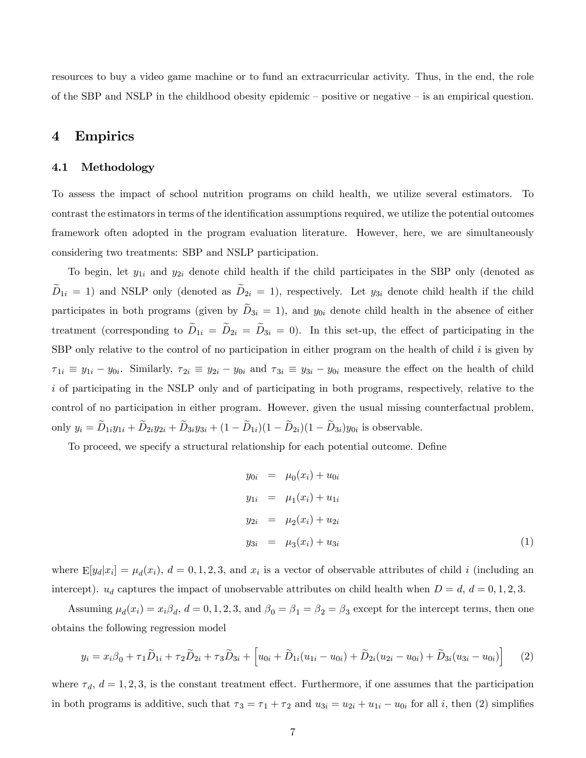resources to buy a video game machine or to fund an extracurricular activity. Thus, in the end, the role of the SBP and NSLP in the childhood obesity epidemic  $-\rho$  positive or negative  $-\nu$  is an empirical question.

### 4 Empirics

#### 4.1 Methodology

To assess the impact of school nutrition programs on child health, we utilize several estimators. To contrast the estimators in terms of the identification assumptions required, we utilize the potential outcomes framework often adopted in the program evaluation literature. However, here, we are simultaneously considering two treatments: SBP and NSLP participation.

To begin, let  $y_{1i}$  and  $y_{2i}$  denote child health if the child participates in the SBP only (denoted as  $\widetilde{D}_{1i} = 1$ ) and NSLP only (denoted as  $\widetilde{D}_{2i} = 1$ ), respectively. Let  $y_{3i}$  denote child health if the child participates in both programs (given by  $\tilde{D}_{3i} = 1$ ), and  $y_{0i}$  denote child health in the absence of either treatment (corresponding to  $\widetilde{D}_{1i} = \widetilde{D}_{2i} = \widetilde{D}_{3i} = 0$ ). In this set-up, the effect of participating in the SBP only relative to the control of no participation in either program on the health of child  $i$  is given by  $\tau_{1i} \equiv y_{1i} - y_{0i}$ . Similarly,  $\tau_{2i} \equiv y_{2i} - y_{0i}$  and  $\tau_{3i} \equiv y_{3i} - y_{0i}$  measure the effect on the health of child i of participating in the NSLP only and of participating in both programs, respectively, relative to the control of no participation in either program. However, given the usual missing counterfactual problem, only  $y_i = D_{1i}y_{1i} + D_{2i}y_{2i} + D_{3i}y_{3i} + (1 - D_{1i})(1 - D_{2i})(1 - D_{3i})y_{0i}$  is observable.

To proceed, we specify a structural relationship for each potential outcome. Define

$$
y_{0i} = \mu_0(x_i) + u_{0i}
$$
  
\n
$$
y_{1i} = \mu_1(x_i) + u_{1i}
$$
  
\n
$$
y_{2i} = \mu_2(x_i) + u_{2i}
$$
  
\n
$$
y_{3i} = \mu_3(x_i) + u_{3i}
$$
\n(1)

where  $E[y_d|x_i] = \mu_d(x_i)$ ,  $d = 0, 1, 2, 3$ , and  $x_i$  is a vector of observable attributes of child i (including an intercept).  $u_d$  captures the impact of unobservable attributes on child health when  $D = d$ ,  $d = 0, 1, 2, 3$ .

Assuming  $\mu_d(x_i) = x_i \beta_d$ ,  $d = 0, 1, 2, 3$ , and  $\beta_0 = \beta_1 = \beta_2 = \beta_3$  except for the intercept terms, then one obtains the following regression model

$$
y_i = x_i \beta_0 + \tau_1 \widetilde{D}_{1i} + \tau_2 \widetilde{D}_{2i} + \tau_3 \widetilde{D}_{3i} + \left[ u_{0i} + \widetilde{D}_{1i}(u_{1i} - u_{0i}) + \widetilde{D}_{2i}(u_{2i} - u_{0i}) + \widetilde{D}_{3i}(u_{3i} - u_{0i}) \right] \tag{2}
$$

where  $\tau_d$ ,  $d = 1, 2, 3$ , is the constant treatment effect. Furthermore, if one assumes that the participation in both programs is additive, such that  $\tau_3 = \tau_1 + \tau_2$  and  $u_{3i} = u_{2i} + u_{1i} - u_{0i}$  for all i, then (2) simplifies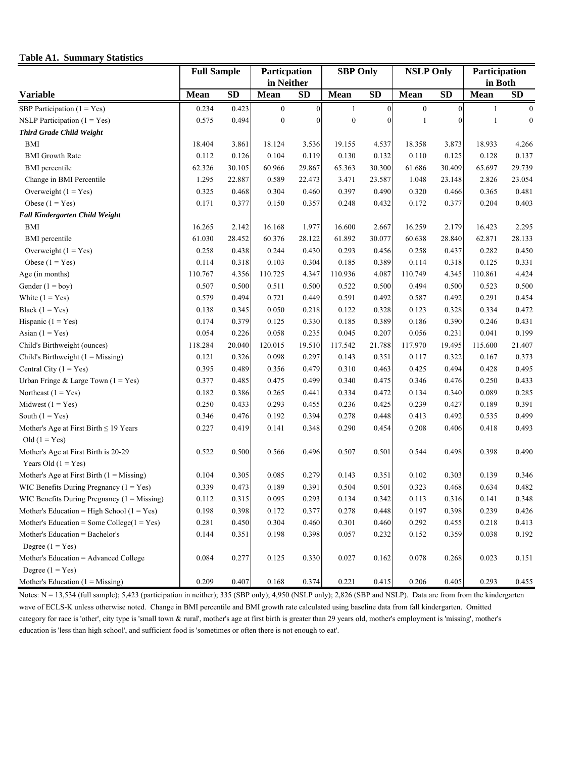#### **Table A1. Summary Statistics**

|                                                                | <b>Full Sample</b> |           | Particpation     |              | <b>SBP Only</b>  |           | <b>NSLP Only</b> |           | Participation |                  |
|----------------------------------------------------------------|--------------------|-----------|------------------|--------------|------------------|-----------|------------------|-----------|---------------|------------------|
|                                                                |                    |           | in Neither       |              |                  |           |                  |           | in Both       |                  |
| Variable                                                       | <b>Mean</b>        | <b>SD</b> | Mean             | <b>SD</b>    | Mean             | <b>SD</b> | Mean             | <b>SD</b> | Mean          | <b>SD</b>        |
| SBP Participation $(1 = Yes)$                                  | 0.234              | 0.423     | $\boldsymbol{0}$ | $\mathbf{0}$ | 1                | $\theta$  | $\boldsymbol{0}$ | $\theta$  | $\mathbf{1}$  | $\boldsymbol{0}$ |
| NSLP Participation $(1 = Yes)$                                 | 0.575              | 0.494     | $\boldsymbol{0}$ | $\Omega$     | $\boldsymbol{0}$ | $\Omega$  | -1               | $\theta$  | 1             | $\boldsymbol{0}$ |
| <b>Third Grade Child Weight</b>                                |                    |           |                  |              |                  |           |                  |           |               |                  |
| BMI                                                            | 18.404             | 3.861     | 18.124           | 3.536        | 19.155           | 4.537     | 18.358           | 3.873     | 18.933        | 4.266            |
| <b>BMI</b> Growth Rate                                         | 0.112              | 0.126     | 0.104            | 0.119        | 0.130            | 0.132     | 0.110            | 0.125     | 0.128         | 0.137            |
| <b>BMI</b> percentile                                          | 62.326             | 30.105    | 60.966           | 29.867       | 65.363           | 30.300    | 61.686           | 30.409    | 65.697        | 29.739           |
| Change in BMI Percentile                                       | 1.295              | 22.887    | 0.589            | 22.473       | 3.471            | 23.587    | 1.048            | 23.148    | 2.826         | 23.054           |
| Overweight $(1 = Yes)$                                         | 0.325              | 0.468     | 0.304            | 0.460        | 0.397            | 0.490     | 0.320            | 0.466     | 0.365         | 0.481            |
| Obese $(1 = Yes)$                                              | 0.171              | 0.377     | 0.150            | 0.357        | 0.248            | 0.432     | 0.172            | 0.377     | 0.204         | 0.403            |
| Fall Kindergarten Child Weight                                 |                    |           |                  |              |                  |           |                  |           |               |                  |
| <b>BMI</b>                                                     | 16.265             | 2.142     | 16.168           | 1.977        | 16.600           | 2.667     | 16.259           | 2.179     | 16.423        | 2.295            |
| <b>BMI</b> percentile                                          | 61.030             | 28.452    | 60.376           | 28.122       | 61.892           | 30.077    | 60.638           | 28.840    | 62.871        | 28.133           |
| Overweight $(1 = Yes)$                                         | 0.258              | 0.438     | 0.244            | 0.430        | 0.293            | 0.456     | 0.258            | 0.437     | 0.282         | 0.450            |
| Obese $(1 = Yes)$                                              | 0.114              | 0.318     | 0.103            | 0.304        | 0.185            | 0.389     | 0.114            | 0.318     | 0.125         | 0.331            |
| Age (in months)                                                | 110.767            | 4.356     | 110.725          | 4.347        | 110.936          | 4.087     | 110.749          | 4.345     | 110.861       | 4.424            |
| Gender $(1 = boy)$                                             | 0.507              | 0.500     | 0.511            | 0.500        | 0.522            | 0.500     | 0.494            | 0.500     | 0.523         | 0.500            |
| White $(1 = Yes)$                                              | 0.579              | 0.494     | 0.721            | 0.449        | 0.591            | 0.492     | 0.587            | 0.492     | 0.291         | 0.454            |
| Black $(1 = Yes)$                                              | 0.138              | 0.345     | 0.050            | 0.218        | 0.122            | 0.328     | 0.123            | 0.328     | 0.334         | 0.472            |
| Hispanic $(1 = Yes)$                                           | 0.174              | 0.379     | 0.125            | 0.330        | 0.185            | 0.389     | 0.186            | 0.390     | 0.246         | 0.431            |
| Asian $(1 = Yes)$                                              | 0.054              | 0.226     | 0.058            | 0.235        | 0.045            | 0.207     | 0.056            | 0.231     | 0.041         | 0.199            |
| Child's Birthweight (ounces)                                   | 118.284            | 20.040    | 120.015          | 19.510       | 117.542          | 21.788    | 117.970          | 19.495    | 115.600       | 21.407           |
| Child's Birthweight $(1 = Missing)$                            | 0.121              | 0.326     | 0.098            | 0.297        | 0.143            | 0.351     | 0.117            | 0.322     | 0.167         | 0.373            |
| Central City $(1 = Yes)$                                       | 0.395              | 0.489     | 0.356            | 0.479        | 0.310            | 0.463     | 0.425            | 0.494     | 0.428         | 0.495            |
| Urban Fringe & Large Town $(1 = Yes)$                          | 0.377              | 0.485     | 0.475            | 0.499        | 0.340            | 0.475     | 0.346            | 0.476     | 0.250         | 0.433            |
| Northeast $(1 = Yes)$                                          | 0.182              | 0.386     | 0.265            | 0.441        | 0.334            | 0.472     | 0.134            | 0.340     | 0.089         | 0.285            |
| Midwest $(1 = Yes)$                                            | 0.250              | 0.433     | 0.293            | 0.455        | 0.236            | 0.425     | 0.239            | 0.427     | 0.189         | 0.391            |
| South $(1 = Yes)$                                              | 0.346              | 0.476     | 0.192            | 0.394        | 0.278            | 0.448     | 0.413            | 0.492     | 0.535         | 0.499            |
| Mother's Age at First Birth $\leq 19$ Years<br>Old $(1 = Yes)$ | 0.227              | 0.419     | 0.141            | 0.348        | 0.290            | 0.454     | 0.208            | 0.406     | 0.418         | 0.493            |
| Mother's Age at First Birth is 20-29<br>Years Old $(1 = Yes)$  | 0.522              | 0.500     | 0.566            | 0.496        | 0.507            | 0.501     | 0.544            | 0.498     | 0.398         | 0.490            |
| Mother's Age at First Birth $(1 = Missing)$                    | 0.104              | 0.305     | 0.085            | 0.279        | 0.143            | 0.351     | 0.102            | 0.303     | 0.139         | 0.346            |
| WIC Benefits During Pregnancy $(1 = Yes)$                      | 0.339              | 0.473     | 0.189            | 0.391        | 0.504            | 0.501     | 0.323            | 0.468     | 0.634         | 0.482            |
| WIC Benefits During Pregnancy $(1 = Missing)$                  | 0.112              | 0.315     | 0.095            | 0.293        | 0.134            | 0.342     | 0.113            | 0.316     | 0.141         | 0.348            |
| Mother's Education = High School $(1 = Yes)$                   | 0.198              | 0.398     | 0.172            | 0.377        | 0.278            | 0.448     | 0.197            | 0.398     | 0.239         | 0.426            |
| Mother's Education = Some College( $1 = Yes$ )                 | 0.281              | 0.450     | 0.304            | 0.460        | 0.301            | 0.460     | 0.292            | 0.455     | 0.218         | 0.413            |
| Mother's Education = Bachelor's<br>Degree $(1 = Yes)$          | 0.144              | 0.351     | 0.198            | 0.398        | 0.057            | 0.232     | 0.152            | 0.359     | 0.038         | 0.192            |
| Mother's Education = Advanced College<br>Degree $(1 = Yes)$    | 0.084              | 0.277     | 0.125            | 0.330        | 0.027            | 0.162     | 0.078            | 0.268     | 0.023         | 0.151            |
| Mother's Education $(1 = Missing)$                             | 0.209              | 0.407     | 0.168            | 0.374        | 0.221            | 0.415     | 0.206            | 0.405     | 0.293         | 0.455            |

Notes: N = 13,534 (full sample); 5,423 (participation in neither); 335 (SBP only); 4,950 (NSLP only); 2,826 (SBP and NSLP). Data are from from the kindergarten wave of ECLS-K unless otherwise noted. Change in BMI percentile and BMI growth rate calculated using baseline data from fall kindergarten. Omitted category for race is 'other', city type is 'small town & rural', mother's age at first birth is greater than 29 years old, mother's employment is 'missing', mother's education is 'less than high school', and sufficient food is 'sometimes or often there is not enough to eat'.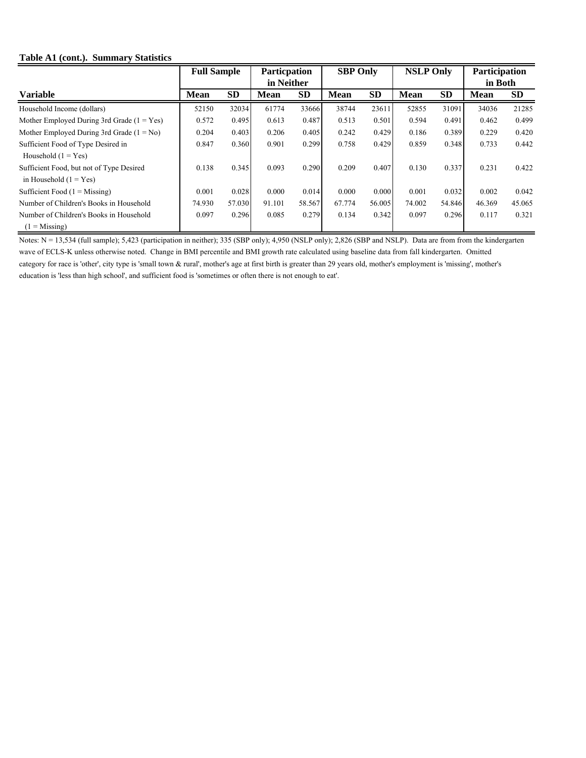#### **Table A1 (cont.). Summary Statistics**

|                                              |             | <b>Full Sample</b> |             | <b>Particpation</b> | <b>SBP Only</b> |           | <b>NSLP Only</b> |           | Participation |           |  |
|----------------------------------------------|-------------|--------------------|-------------|---------------------|-----------------|-----------|------------------|-----------|---------------|-----------|--|
|                                              |             |                    |             | in Neither          |                 |           |                  |           |               | in Both   |  |
| <b>Variable</b>                              | <b>Mean</b> | <b>SD</b>          | <b>Mean</b> | <b>SD</b>           | <b>Mean</b>     | <b>SD</b> | <b>Mean</b>      | <b>SD</b> | <b>Mean</b>   | <b>SD</b> |  |
| Household Income (dollars)                   | 52150       | 32034              | 61774       | 33666               | 38744           | 23611     | 52855            | 31091     | 34036         | 21285     |  |
| Mother Employed During 3rd Grade $(1 = Yes)$ | 0.572       | 0.495              | 0.613       | 0.487               | 0.513           | 0.501     | 0.594            | 0.491     | 0.462         | 0.499     |  |
| Mother Employed During 3rd Grade $(1 = No)$  | 0.204       | 0.403              | 0.206       | 0.405               | 0.242           | 0.429     | 0.186            | 0.389     | 0.229         | 0.420     |  |
| Sufficient Food of Type Desired in           | 0.847       | 0.360              | 0.901       | 0.299               | 0.758           | 0.429     | 0.859            | 0.348     | 0.733         | 0.442     |  |
| Household $(1 = Yes)$                        |             |                    |             |                     |                 |           |                  |           |               |           |  |
| Sufficient Food, but not of Type Desired     | 0.138       | 0.345              | 0.093       | 0.290               | 0.209           | 0.407     | 0.130            | 0.337     | 0.231         | 0.422     |  |
| in Household $(1 = Yes)$                     |             |                    |             |                     |                 |           |                  |           |               |           |  |
| Sufficient Food $(1 = Missing)$              | 0.001       | 0.028              | 0.000       | 0.014               | 0.000           | 0.000     | 0.001            | 0.032     | 0.002         | 0.042     |  |
| Number of Children's Books in Household      | 74.930      | 57.030             | 91.101      | 58.567              | 67.774          | 56.005    | 74.002           | 54.846    | 46.369        | 45.065    |  |
| Number of Children's Books in Household      | 0.097       | 0.296              | 0.085       | 0.279               | 0.134           | 0.342     | 0.097            | 0.296     | 0.117         | 0.321     |  |
| $(1 - Missing)$                              |             |                    |             |                     |                 |           |                  |           |               |           |  |

Notes: N = 13,534 (full sample); 5,423 (participation in neither); 335 (SBP only); 4,950 (NSLP only); 2,826 (SBP and NSLP). Data are from from the kindergarten wave of ECLS-K unless otherwise noted. Change in BMI percentile and BMI growth rate calculated using baseline data from fall kindergarten. Omitted category for race is 'other', city type is 'small town & rural', mother's age at first birth is greater than 29 years old, mother's employment is 'missing', mother's education is 'less than high school', and sufficient food is 'sometimes or often there is not enough to eat'.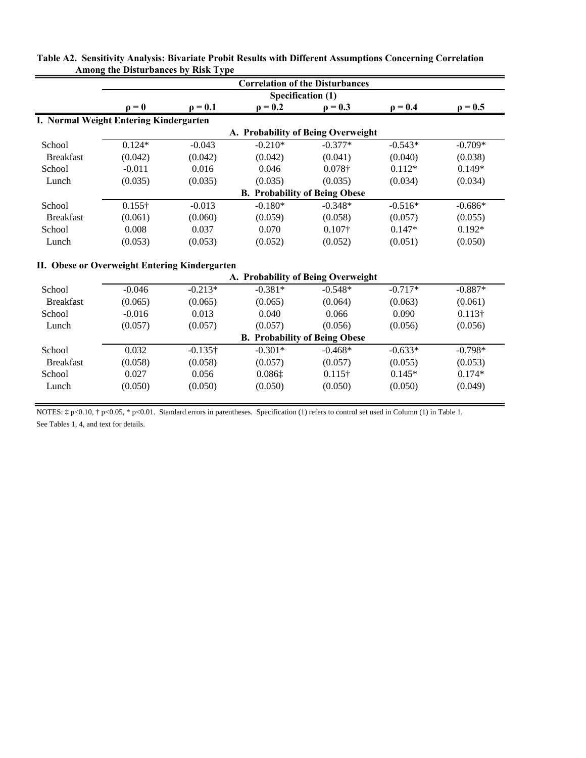|                  |                                        |                                               |                                      | <b>Correlation of the Disturbances</b> |              |                |
|------------------|----------------------------------------|-----------------------------------------------|--------------------------------------|----------------------------------------|--------------|----------------|
|                  |                                        |                                               | Specification (1)                    |                                        |              |                |
|                  | $\mathbf{0} = \mathbf{0}$              | $\rho = 0.1$                                  | $\rho = 0.2$                         | $\rho = 0.3$                           | $\rho = 0.4$ | $\rho = 0.5$   |
|                  | I. Normal Weight Entering Kindergarten |                                               |                                      |                                        |              |                |
|                  |                                        |                                               | A. Probability of Being Overweight   |                                        |              |                |
| School           | $0.124*$                               | $-0.043$                                      | $-0.210*$                            | $-0.377*$                              | $-0.543*$    | $-0.709*$      |
| <b>Breakfast</b> | (0.042)                                | (0.042)                                       | (0.042)                              | (0.041)                                | (0.040)      | (0.038)        |
| School           | $-0.011$                               | 0.016                                         | 0.046                                | 0.078+                                 | $0.112*$     | $0.149*$       |
| Lunch            | (0.035)                                | (0.035)                                       | (0.035)                              | (0.035)                                | (0.034)      | (0.034)        |
|                  |                                        |                                               | <b>B. Probability of Being Obese</b> |                                        |              |                |
| School           | $0.155\dagger$                         | $-0.013$                                      | $-0.180*$                            | $-0.348*$                              | $-0.516*$    | $-0.686*$      |
| <b>Breakfast</b> | (0.061)                                | (0.060)                                       | (0.059)                              | (0.058)                                | (0.057)      | (0.055)        |
| School           | 0.008                                  | 0.037                                         | 0.070                                | $0.107\dagger$                         | $0.147*$     | $0.192*$       |
| Lunch            | (0.053)                                | (0.053)                                       | (0.052)                              | (0.052)                                | (0.051)      | (0.050)        |
|                  |                                        |                                               |                                      |                                        |              |                |
|                  |                                        | II. Obese or Overweight Entering Kindergarten |                                      |                                        |              |                |
|                  |                                        |                                               | A. Probability of Being Overweight   |                                        |              |                |
| School           | $-0.046$                               | $-0.213*$                                     | $-0.381*$                            | $-0.548*$                              | $-0.717*$    | $-0.887*$      |
| <b>Breakfast</b> | (0.065)                                | (0.065)                                       | (0.065)                              | (0.064)                                | (0.063)      | (0.061)        |
| School           | $-0.016$                               | 0.013                                         | 0.040                                | 0.066                                  | 0.090        | $0.113\dagger$ |
| Lunch            | (0.057)                                | (0.057)                                       | (0.057)                              | (0.056)                                | (0.056)      | (0.056)        |
|                  |                                        |                                               | <b>B. Probability of Being Obese</b> |                                        |              |                |
| School           | 0.032                                  | $-0.135\dagger$                               | $-0.301*$                            | $-0.468*$                              | $-0.633*$    | $-0.798*$      |
| <b>Breakfast</b> | (0.058)                                | (0.058)                                       | (0.057)                              | (0.057)                                | (0.055)      | (0.053)        |
| School           | 0.027                                  | 0.056                                         | 0.0861                               | $0.115\dagger$                         | $0.145*$     | $0.174*$       |
| Lunch            | (0.050)                                | (0.050)                                       | (0.050)                              | (0.050)                                | (0.050)      | (0.049)        |
|                  |                                        |                                               |                                      |                                        |              |                |

**Table A2. Sensitivity Analysis: Bivariate Probit Results with Different Assumptions Concerning Correlation Among the Disturbances by Risk Type**

NOTES: ‡ p<0.10, † p<0.05, \* p<0.01. Standard errors in parentheses. Specification (1) refers to control set used in Column (1) in Table 1. See Tables 1, 4, and text for details.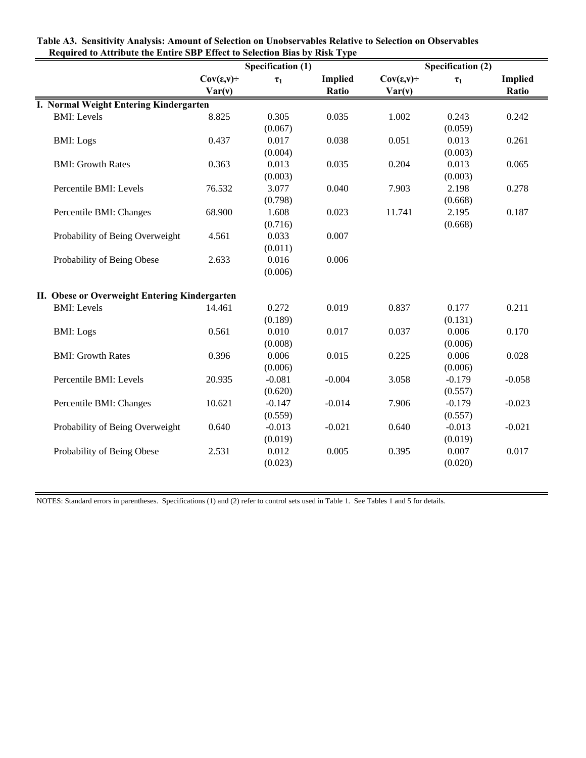|                                               |                         | <b>Specification (1)</b> |                | <b>Specification (2)</b> |          |                |  |
|-----------------------------------------------|-------------------------|--------------------------|----------------|--------------------------|----------|----------------|--|
|                                               | $Cov(\varepsilon, v)$ ÷ | $\tau_1$                 | <b>Implied</b> | $Cov(\varepsilon, v)$ ÷  | $\tau_1$ | <b>Implied</b> |  |
|                                               | Var(v)                  |                          | Ratio          | Var(v)                   |          | Ratio          |  |
| I. Normal Weight Entering Kindergarten        |                         |                          |                |                          |          |                |  |
| <b>BMI:</b> Levels                            | 8.825                   | 0.305                    | 0.035          | 1.002                    | 0.243    | 0.242          |  |
|                                               |                         | (0.067)                  |                |                          | (0.059)  |                |  |
| <b>BMI:</b> Logs                              | 0.437                   | 0.017                    | 0.038          | 0.051                    | 0.013    | 0.261          |  |
|                                               |                         | (0.004)                  |                |                          | (0.003)  |                |  |
| <b>BMI: Growth Rates</b>                      | 0.363                   | 0.013                    | 0.035          | 0.204                    | 0.013    | 0.065          |  |
|                                               |                         | (0.003)                  |                |                          | (0.003)  |                |  |
| Percentile BMI: Levels                        | 76.532                  | 3.077                    | 0.040          | 7.903                    | 2.198    | 0.278          |  |
|                                               |                         | (0.798)                  |                |                          | (0.668)  |                |  |
| Percentile BMI: Changes                       | 68.900                  | 1.608                    | 0.023          | 11.741                   | 2.195    | 0.187          |  |
|                                               |                         | (0.716)                  |                |                          | (0.668)  |                |  |
| Probability of Being Overweight               | 4.561                   | 0.033                    | 0.007          |                          |          |                |  |
|                                               |                         | (0.011)                  |                |                          |          |                |  |
| Probability of Being Obese                    | 2.633                   | 0.016                    | 0.006          |                          |          |                |  |
|                                               |                         | (0.006)                  |                |                          |          |                |  |
| II. Obese or Overweight Entering Kindergarten |                         |                          |                |                          |          |                |  |
| <b>BMI:</b> Levels                            | 14.461                  | 0.272                    | 0.019          | 0.837                    | 0.177    | 0.211          |  |
|                                               |                         | (0.189)                  |                |                          | (0.131)  |                |  |
| <b>BMI:</b> Logs                              | 0.561                   | 0.010                    | 0.017          | 0.037                    | 0.006    | 0.170          |  |
|                                               |                         | (0.008)                  |                |                          | (0.006)  |                |  |
| <b>BMI: Growth Rates</b>                      | 0.396                   | 0.006                    | 0.015          | 0.225                    | 0.006    | 0.028          |  |
|                                               |                         | (0.006)                  |                |                          | (0.006)  |                |  |
| Percentile BMI: Levels                        | 20.935                  | $-0.081$                 | $-0.004$       | 3.058                    | $-0.179$ | $-0.058$       |  |
|                                               |                         | (0.620)                  |                |                          | (0.557)  |                |  |
| Percentile BMI: Changes                       | 10.621                  | $-0.147$                 | $-0.014$       | 7.906                    | $-0.179$ | $-0.023$       |  |
|                                               |                         | (0.559)                  |                |                          | (0.557)  |                |  |
| Probability of Being Overweight               | 0.640                   | $-0.013$                 | $-0.021$       | 0.640                    | $-0.013$ | $-0.021$       |  |
|                                               |                         | (0.019)                  |                |                          | (0.019)  |                |  |
| Probability of Being Obese                    | 2.531                   | 0.012                    | 0.005          | 0.395                    | 0.007    | 0.017          |  |
|                                               |                         | (0.023)                  |                |                          | (0.020)  |                |  |

**Table A3. Sensitivity Analysis: Amount of Selection on Unobservables Relative to Selection on Observables Required to Attribute the Entire SBP Effect to Selection Bias by Risk Type**

NOTES: Standard errors in parentheses. Specifications (1) and (2) refer to control sets used in Table 1. See Tables 1 and 5 for details.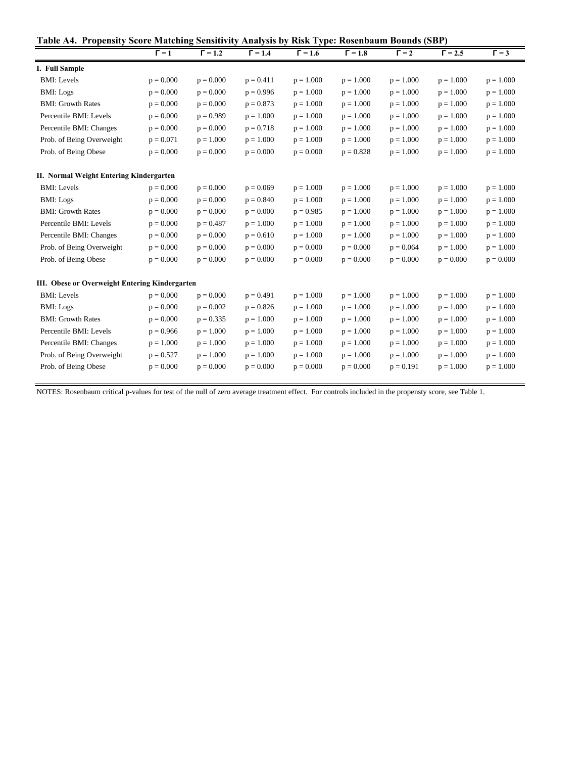|  | Table A4. Propensity Score Matching Sensitivity Analysis by Risk Type: Rosenbaum Bounds (SBP) |  |  |  |
|--|-----------------------------------------------------------------------------------------------|--|--|--|
|  |                                                                                               |  |  |  |

| .<br>Tropensity Seore Mateming Sensitryny Amarysis by |              |                |                |                | Ron Type: Rosenbaum Dounds |              | ັ              |              |
|-------------------------------------------------------|--------------|----------------|----------------|----------------|----------------------------|--------------|----------------|--------------|
|                                                       | $\Gamma = 1$ | $\Gamma = 1.2$ | $\Gamma = 1.4$ | $\Gamma = 1.6$ | $\Gamma = 1.8$             | $\Gamma = 2$ | $\Gamma = 2.5$ | $\Gamma = 3$ |
| I. Full Sample                                        |              |                |                |                |                            |              |                |              |
| <b>BMI:</b> Levels                                    | $p = 0.000$  | $p = 0.000$    | $p = 0.411$    | $p = 1.000$    | $p = 1.000$                | $p = 1.000$  | $p = 1.000$    | $p = 1.000$  |
| <b>BMI:</b> Logs                                      | $p = 0.000$  | $p = 0.000$    | $p = 0.996$    | $p = 1.000$    | $p = 1.000$                | $p = 1.000$  | $p = 1.000$    | $p = 1.000$  |
| <b>BMI: Growth Rates</b>                              | $p = 0.000$  | $p = 0.000$    | $p = 0.873$    | $p = 1.000$    | $p = 1.000$                | $p = 1.000$  | $p = 1.000$    | $p = 1.000$  |
| Percentile BMI: Levels                                | $p = 0.000$  | $p = 0.989$    | $p = 1.000$    | $p = 1.000$    | $p = 1.000$                | $p = 1.000$  | $p = 1.000$    | $p = 1.000$  |
| Percentile BMI: Changes                               | $p = 0.000$  | $p = 0.000$    | $p = 0.718$    | $p = 1.000$    | $p = 1.000$                | $p = 1.000$  | $p = 1.000$    | $p = 1.000$  |
| Prob. of Being Overweight                             | $p = 0.071$  | $p = 1.000$    | $p = 1.000$    | $p = 1.000$    | $p = 1.000$                | $p = 1.000$  | $p = 1.000$    | $p = 1.000$  |
| Prob. of Being Obese                                  | $p = 0.000$  | $p = 0.000$    | $p = 0.000$    | $p = 0.000$    | $p = 0.828$                | $p = 1.000$  | $p = 1.000$    | $p = 1.000$  |
| II. Normal Weight Entering Kindergarten               |              |                |                |                |                            |              |                |              |
| <b>BMI:</b> Levels                                    | $p = 0.000$  | $p = 0.000$    | $p = 0.069$    | $p = 1.000$    | $p = 1.000$                | $p = 1.000$  | $p = 1.000$    | $p = 1.000$  |
| <b>BMI:</b> Logs                                      | $p = 0.000$  | $p = 0.000$    | $p = 0.840$    | $p = 1.000$    | $p = 1.000$                | $p = 1.000$  | $p = 1.000$    | $p = 1.000$  |
| <b>BMI: Growth Rates</b>                              | $p = 0.000$  | $p = 0.000$    | $p = 0.000$    | $p = 0.985$    | $p = 1.000$                | $p = 1.000$  | $p = 1.000$    | $p = 1.000$  |
| Percentile BMI: Levels                                | $p = 0.000$  | $p = 0.487$    | $p = 1.000$    | $p = 1.000$    | $p = 1.000$                | $p = 1.000$  | $p = 1.000$    | $p = 1.000$  |
| Percentile BMI: Changes                               | $p = 0.000$  | $p = 0.000$    | $p = 0.610$    | $p = 1.000$    | $p = 1.000$                | $p = 1.000$  | $p = 1.000$    | $p = 1.000$  |
| Prob. of Being Overweight                             | $p = 0.000$  | $p = 0.000$    | $p = 0.000$    | $p = 0.000$    | $p = 0.000$                | $p = 0.064$  | $p = 1.000$    | $p = 1.000$  |
| Prob. of Being Obese                                  | $p = 0.000$  | $p = 0.000$    | $p = 0.000$    | $p = 0.000$    | $p = 0.000$                | $p = 0.000$  | $p = 0.000$    | $p = 0.000$  |
| III. Obese or Overweight Entering Kindergarten        |              |                |                |                |                            |              |                |              |
| <b>BMI:</b> Levels                                    | $p = 0.000$  | $p = 0.000$    | $p = 0.491$    | $p = 1.000$    | $p = 1.000$                | $p = 1.000$  | $p = 1.000$    | $p = 1.000$  |
| <b>BMI:</b> Logs                                      | $p = 0.000$  | $p = 0.002$    | $p = 0.826$    | $p = 1.000$    | $p = 1.000$                | $p = 1.000$  | $p = 1.000$    | $p = 1.000$  |
| <b>BMI: Growth Rates</b>                              | $p = 0.000$  | $p = 0.335$    | $p = 1.000$    | $p = 1.000$    | $p = 1.000$                | $p = 1.000$  | $p = 1.000$    | $p = 1.000$  |
| Percentile BMI: Levels                                | $p = 0.966$  | $p = 1.000$    | $p = 1.000$    | $p = 1.000$    | $p = 1.000$                | $p = 1.000$  | $p = 1.000$    | $p = 1.000$  |
| Percentile BMI: Changes                               | $p = 1.000$  | $p = 1.000$    | $p = 1.000$    | $p = 1.000$    | $p = 1.000$                | $p = 1.000$  | $p = 1.000$    | $p = 1.000$  |
| Prob. of Being Overweight                             | $p = 0.527$  | $p = 1.000$    | $p = 1.000$    | $p = 1.000$    | $p = 1.000$                | $p = 1.000$  | $p = 1.000$    | $p = 1.000$  |
| Prob. of Being Obese                                  | $p = 0.000$  | $p = 0.000$    | $p = 0.000$    | $p = 0.000$    | $p = 0.000$                | $p = 0.191$  | $p = 1.000$    | $p = 1.000$  |
|                                                       |              |                |                |                |                            |              |                |              |

NOTES: Rosenbaum critical p-values for test of the null of zero average treatment effect. For controls included in the propensty score, see Table 1.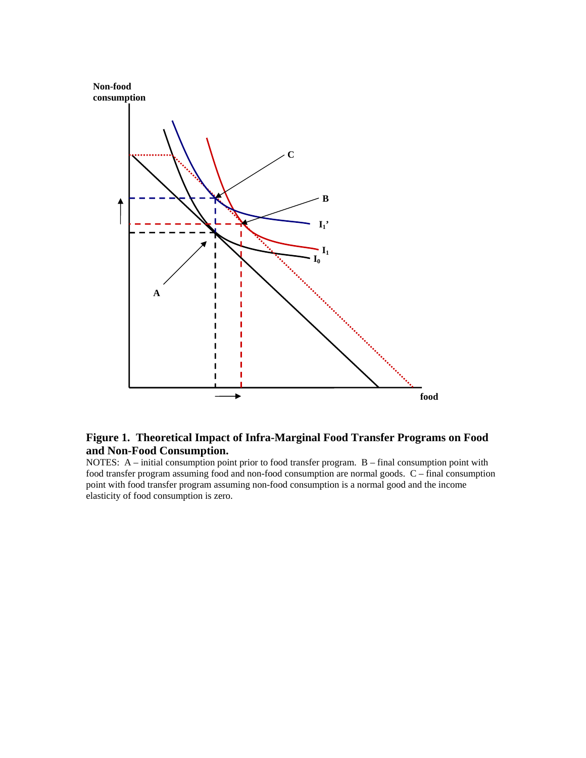



### **Figure 1. Theoretical Impact of Infra-Marginal Food Transfer Programs on Food and Non-Food Consumption.**

NOTES: A – initial consumption point prior to food transfer program. B – final consumption point with food transfer program assuming food and non-food consumption are normal goods. C – final consumption point with food transfer program assuming non-food consumption is a normal good and the income elasticity of food consumption is zero.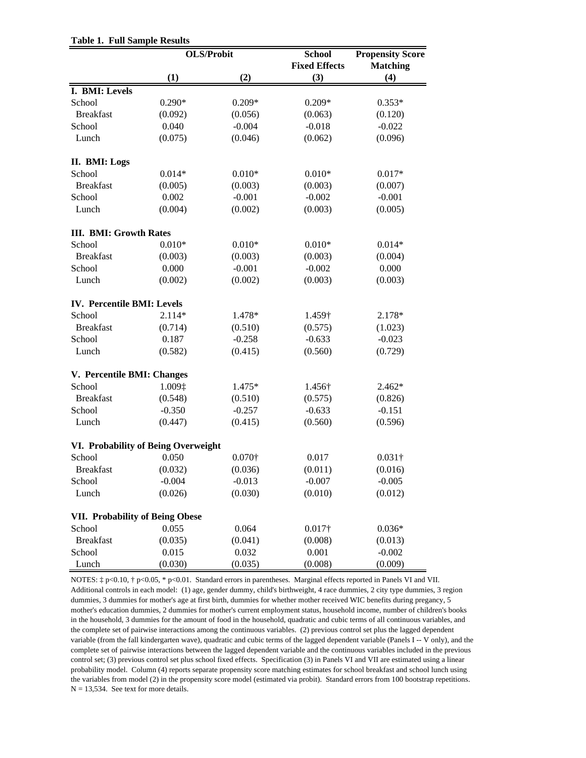| <b>Table 1. Full Sample Results</b> |  |  |  |
|-------------------------------------|--|--|--|
|-------------------------------------|--|--|--|

|                                        |          | <b>OLS/Probit</b> | <b>School</b>        | <b>Propensity Score</b> |
|----------------------------------------|----------|-------------------|----------------------|-------------------------|
|                                        |          |                   | <b>Fixed Effects</b> | <b>Matching</b>         |
|                                        | (1)      | (2)               | (3)                  | (4)                     |
| I. BMI: Levels                         |          |                   |                      |                         |
| School                                 | $0.290*$ | $0.209*$          | $0.209*$             | $0.353*$                |
| <b>Breakfast</b>                       | (0.092)  | (0.056)           | (0.063)              | (0.120)                 |
| School                                 | 0.040    | $-0.004$          | $-0.018$             | $-0.022$                |
| Lunch                                  | (0.075)  | (0.046)           | (0.062)              | (0.096)                 |
| II. BMI: Logs                          |          |                   |                      |                         |
| School                                 | $0.014*$ | $0.010*$          | $0.010*$             | $0.017*$                |
| <b>Breakfast</b>                       | (0.005)  | (0.003)           | (0.003)              | (0.007)                 |
| School                                 | 0.002    | $-0.001$          | $-0.002$             | $-0.001$                |
| Lunch                                  | (0.004)  | (0.002)           | (0.003)              | (0.005)                 |
| <b>III. BMI: Growth Rates</b>          |          |                   |                      |                         |
| School                                 | $0.010*$ | $0.010*$          | $0.010*$             | $0.014*$                |
| <b>Breakfast</b>                       | (0.003)  | (0.003)           | (0.003)              | (0.004)                 |
| School                                 | 0.000    | $-0.001$          | $-0.002$             | 0.000                   |
| Lunch                                  | (0.002)  | (0.002)           | (0.003)              | (0.003)                 |
| <b>IV. Percentile BMI: Levels</b>      |          |                   |                      |                         |
| School                                 | $2.114*$ | 1.478*            | 1.459†               | 2.178*                  |
| <b>Breakfast</b>                       | (0.714)  | (0.510)           | (0.575)              | (1.023)                 |
| School                                 | 0.187    | $-0.258$          | $-0.633$             | $-0.023$                |
| Lunch                                  | (0.582)  | (0.415)           | (0.560)              | (0.729)                 |
| V. Percentile BMI: Changes             |          |                   |                      |                         |
| School                                 | 1.009‡   | 1.475*            | 1.456†               | $2.462*$                |
| <b>Breakfast</b>                       | (0.548)  | (0.510)           | (0.575)              | (0.826)                 |
| School                                 | $-0.350$ | $-0.257$          | $-0.633$             | $-0.151$                |
| Lunch                                  | (0.447)  | (0.415)           | (0.560)              | (0.596)                 |
| VI. Probability of Being Overweight    |          |                   |                      |                         |
| School                                 | 0.050    | $0.070\dagger$    | 0.017                | $0.031\dagger$          |
| <b>Breakfast</b>                       | (0.032)  | (0.036)           | (0.011)              | (0.016)                 |
| School                                 | $-0.004$ | $-0.013$          | $-0.007$             | $-0.005$                |
| Lunch                                  | (0.026)  | (0.030)           | (0.010)              | (0.012)                 |
| <b>VII. Probability of Being Obese</b> |          |                   |                      |                         |
| School                                 | 0.055    | 0.064             | $0.017\dagger$       | $0.036*$                |
| <b>Breakfast</b>                       | (0.035)  | (0.041)           | (0.008)              | (0.013)                 |
| School                                 | 0.015    | 0.032             | 0.001                | $-0.002$                |
| Lunch                                  | (0.030)  | (0.035)           | (0.008)              | (0.009)                 |

the variables from model (2) in the propensity score model (estimated via probit). Standard errors from 100 bootstrap repetitions.  $N = 13,534$ . See text for more details. NOTES: ‡ p<0.10, † p<0.05, \* p<0.01. Standard errors in parentheses. Marginal effects reported in Panels VI and VII. Additional controls in each model: (1) age, gender dummy, child's birthweight, 4 race dummies, 2 city type dummies, 3 region dummies, 3 dummies for mother's age at first birth, dummies for whether mother received WIC benefits during pregancy, 5 mother's education dummies, 2 dummies for mother's current employment status, household income, number of children's books in the household, 3 dummies for the amount of food in the household, quadratic and cubic terms of all continuous variables, and the complete set of pairwise interactions among the continuous variables. (2) previous control set plus the lagged dependent variable (from the fall kindergarten wave), quadratic and cubic terms of the lagged dependent variable (Panels I -- V only), and the complete set of pairwise interactions between the lagged dependent variable and the continuous variables included in the previous control set; (3) previous control set plus school fixed effects. Specification (3) in Panels VI and VII are estimated using a linear probability model. Column (4) reports separate propensity score matching estimates for school breakfast and school lunch using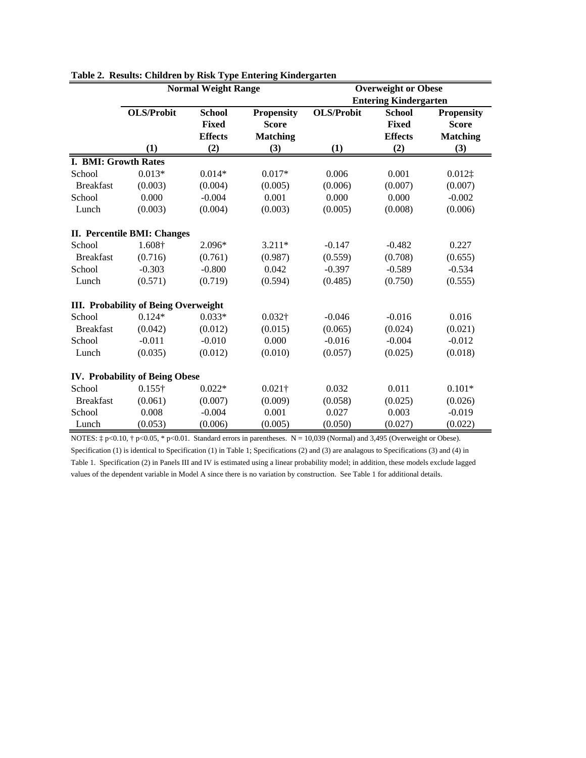|                      |                                             | <b>Normal Weight Range</b> |                   |                   | <b>Overweight or Obese</b>   |                   |
|----------------------|---------------------------------------------|----------------------------|-------------------|-------------------|------------------------------|-------------------|
|                      |                                             |                            |                   |                   | <b>Entering Kindergarten</b> |                   |
|                      | <b>OLS/Probit</b>                           | <b>School</b>              | <b>Propensity</b> | <b>OLS/Probit</b> | <b>School</b>                | <b>Propensity</b> |
|                      |                                             | Fixed                      | <b>Score</b>      |                   | <b>Fixed</b>                 | <b>Score</b>      |
|                      |                                             | <b>Effects</b>             | <b>Matching</b>   |                   | <b>Effects</b>               | <b>Matching</b>   |
|                      | (1)                                         | (2)                        | (3)               | (1)               | (2)                          | (3)               |
| I. BMI: Growth Rates |                                             |                            |                   |                   |                              |                   |
| School               | $0.013*$                                    | $0.014*$                   | $0.017*$          | 0.006             | 0.001                        | $0.012$ ‡         |
| <b>Breakfast</b>     | (0.003)                                     | (0.004)                    | (0.005)           | (0.006)           | (0.007)                      | (0.007)           |
| School               | 0.000                                       | $-0.004$                   | 0.001             | 0.000             | 0.000                        | $-0.002$          |
| Lunch                | (0.003)                                     | (0.004)                    | (0.003)           | (0.005)           | (0.008)                      | (0.006)           |
|                      | II. Percentile BMI: Changes                 |                            |                   |                   |                              |                   |
| School               | 1.608†                                      | 2.096*                     | $3.211*$          | $-0.147$          | $-0.482$                     | 0.227             |
| <b>Breakfast</b>     | (0.716)                                     | (0.761)                    | (0.987)           | (0.559)           | (0.708)                      | (0.655)           |
| School               | $-0.303$                                    | $-0.800$                   | 0.042             | $-0.397$          | $-0.589$                     | $-0.534$          |
| Lunch                | (0.571)                                     | (0.719)                    | (0.594)           | (0.485)           | (0.750)                      | (0.555)           |
|                      | <b>III. Probability of Being Overweight</b> |                            |                   |                   |                              |                   |
| School               | $0.124*$                                    | $0.033*$                   | $0.032\dagger$    | $-0.046$          | $-0.016$                     | 0.016             |
| <b>Breakfast</b>     | (0.042)                                     | (0.012)                    | (0.015)           | (0.065)           | (0.024)                      | (0.021)           |
| School               | $-0.011$                                    | $-0.010$                   | 0.000             | $-0.016$          | $-0.004$                     | $-0.012$          |
| Lunch                | (0.035)                                     | (0.012)                    | (0.010)           | (0.057)           | (0.025)                      | (0.018)           |
|                      | IV. Probability of Being Obese              |                            |                   |                   |                              |                   |
| School               | $0.155\dagger$                              | $0.022*$                   | $0.021\dagger$    | 0.032             | 0.011                        | $0.101*$          |
| <b>Breakfast</b>     | (0.061)                                     | (0.007)                    | (0.009)           | (0.058)           | (0.025)                      | (0.026)           |
| School               | 0.008                                       | $-0.004$                   | 0.001             | 0.027             | 0.003                        | $-0.019$          |
| Lunch                | (0.053)                                     | (0.006)                    | (0.005)           | (0.050)           | (0.027)                      | (0.022)           |

**Table 2. Results: Children by Risk Type Entering Kindergarten**

NOTES:  $\ddagger$  p<0.10,  $\ddagger$  p<0.05, \* p<0.01. Standard errors in parentheses. N = 10,039 (Normal) and 3,495 (Overweight or Obese). Specification (1) is identical to Specification (1) in Table 1; Specifications (2) and (3) are analagous to Specifications (3) and (4) in Table 1. Specification (2) in Panels III and IV is estimated using a linear probability model; in addition, these models exclude lagged values of the dependent variable in Model A since there is no variation by construction. See Table 1 for additional details.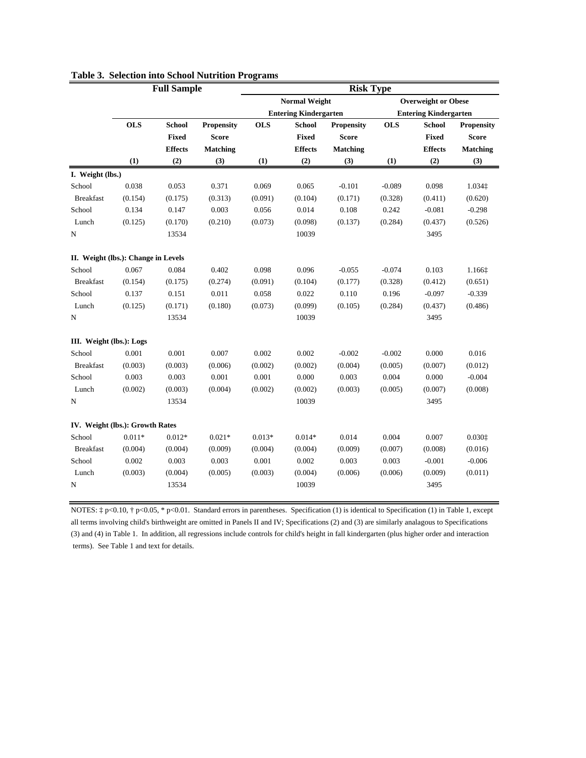|                                     |            | <b>Full Sample</b> |                   | <b>Risk Type</b> |                              |                   |            |                              |                   |
|-------------------------------------|------------|--------------------|-------------------|------------------|------------------------------|-------------------|------------|------------------------------|-------------------|
|                                     |            |                    |                   |                  | <b>Normal Weight</b>         |                   |            | <b>Overweight or Obese</b>   |                   |
|                                     |            |                    |                   |                  | <b>Entering Kindergarten</b> |                   |            | <b>Entering Kindergarten</b> |                   |
|                                     | <b>OLS</b> | <b>School</b>      | <b>Propensity</b> | <b>OLS</b>       | <b>School</b>                | <b>Propensity</b> | <b>OLS</b> | <b>School</b>                | <b>Propensity</b> |
|                                     |            | <b>Fixed</b>       | <b>Score</b>      |                  | <b>Fixed</b>                 | <b>Score</b>      |            | <b>Fixed</b>                 | <b>Score</b>      |
|                                     |            | <b>Effects</b>     | <b>Matching</b>   |                  | <b>Effects</b>               | <b>Matching</b>   |            | <b>Effects</b>               | <b>Matching</b>   |
|                                     | (1)        | (2)                | (3)               | (1)              | (2)                          | (3)               | (1)        | (2)                          | (3)               |
| I. Weight (lbs.)                    |            |                    |                   |                  |                              |                   |            |                              |                   |
| School                              | 0.038      | 0.053              | 0.371             | 0.069            | 0.065                        | $-0.101$          | $-0.089$   | 0.098                        | 1.034 $\ddagger$  |
| <b>Breakfast</b>                    | (0.154)    | (0.175)            | (0.313)           | (0.091)          | (0.104)                      | (0.171)           | (0.328)    | (0.411)                      | (0.620)           |
| School                              | 0.134      | 0.147              | 0.003             | 0.056            | 0.014                        | 0.108             | 0.242      | $-0.081$                     | $-0.298$          |
| Lunch                               | (0.125)    | (0.170)            | (0.210)           | (0.073)          | (0.098)                      | (0.137)           | (0.284)    | (0.437)                      | (0.526)           |
| N                                   |            | 13534              |                   |                  | 10039                        |                   |            | 3495                         |                   |
| II. Weight (lbs.): Change in Levels |            |                    |                   |                  |                              |                   |            |                              |                   |
| School                              | 0.067      | 0.084              | 0.402             | 0.098            | 0.096                        | $-0.055$          | $-0.074$   | 0.103                        | 1.1661            |
| <b>Breakfast</b>                    | (0.154)    | (0.175)            | (0.274)           | (0.091)          | (0.104)                      | (0.177)           | (0.328)    | (0.412)                      | (0.651)           |
| School                              | 0.137      | 0.151              | 0.011             | 0.058            | 0.022                        | 0.110             | 0.196      | $-0.097$                     | $-0.339$          |
| Lunch                               | (0.125)    | (0.171)            | (0.180)           | (0.073)          | (0.099)                      | (0.105)           | (0.284)    | (0.437)                      | (0.486)           |
| N                                   |            | 13534              |                   |                  | 10039                        |                   |            | 3495                         |                   |
| III. Weight (lbs.): Logs            |            |                    |                   |                  |                              |                   |            |                              |                   |
| School                              | 0.001      | 0.001              | 0.007             | 0.002            | 0.002                        | $-0.002$          | $-0.002$   | 0.000                        | 0.016             |
| <b>Breakfast</b>                    | (0.003)    | (0.003)            | (0.006)           | (0.002)          | (0.002)                      | (0.004)           | (0.005)    | (0.007)                      | (0.012)           |
| School                              | 0.003      | 0.003              | 0.001             | 0.001            | 0.000                        | 0.003             | 0.004      | 0.000                        | $-0.004$          |
| Lunch                               | (0.002)    | (0.003)            | (0.004)           | (0.002)          | (0.002)                      | (0.003)           | (0.005)    | (0.007)                      | (0.008)           |
| N                                   |            | 13534              |                   |                  | 10039                        |                   |            | 3495                         |                   |
| IV. Weight (lbs.): Growth Rates     |            |                    |                   |                  |                              |                   |            |                              |                   |
| School                              | $0.011*$   | $0.012*$           | $0.021*$          | $0.013*$         | $0.014*$                     | 0.014             | 0.004      | 0.007                        | 0.0301            |
| <b>Breakfast</b>                    | (0.004)    | (0.004)            | (0.009)           | (0.004)          | (0.004)                      | (0.009)           | (0.007)    | (0.008)                      | (0.016)           |
| School                              | 0.002      | 0.003              | 0.003             | 0.001            | 0.002                        | 0.003             | 0.003      | $-0.001$                     | $-0.006$          |
| Lunch                               | (0.003)    | (0.004)            | (0.005)           | (0.003)          | (0.004)                      | (0.006)           | (0.006)    | (0.009)                      | (0.011)           |
| N                                   |            | 13534              |                   |                  | 10039                        |                   |            | 3495                         |                   |

### **Table 3. Selection into School Nutrition Programs**

NOTES: ‡ p<0.10, † p<0.05, \* p<0.01. Standard errors in parentheses. Specification (1) is identical to Specification (1) in Table 1, except all terms involving child's birthweight are omitted in Panels II and IV; Specifications (2) and (3) are similarly analagous to Specifications (3) and (4) in Table 1. In addition, all regressions include controls for child's height in fall kindergarten (plus higher order and interaction terms). See Table 1 and text for details.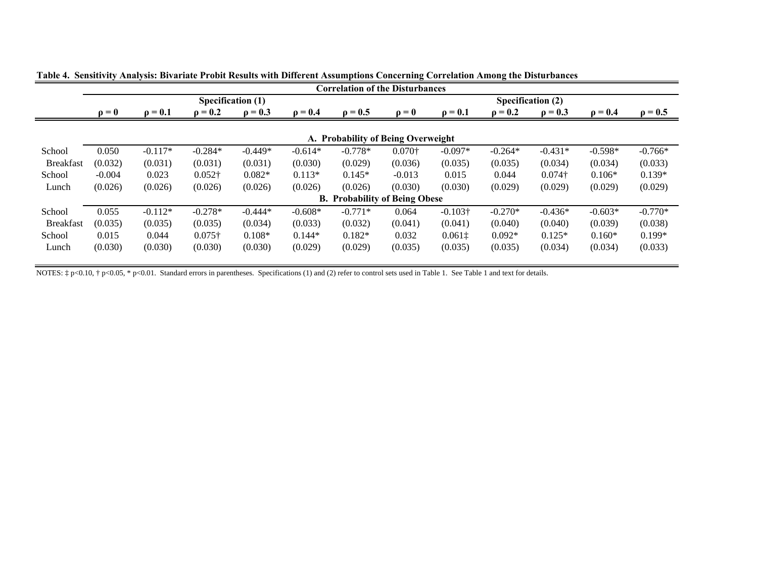|                  |                           |              |                |                   |              | <b>Correlation of the Disturbances</b> |                           |                 |              |                |              |              |  |
|------------------|---------------------------|--------------|----------------|-------------------|--------------|----------------------------------------|---------------------------|-----------------|--------------|----------------|--------------|--------------|--|
|                  |                           |              |                | Specification (1) |              |                                        | Specification (2)         |                 |              |                |              |              |  |
|                  | $\mathbf{p} = \mathbf{0}$ | $\rho = 0.1$ | $\rho = 0.2$   | $\rho = 0.3$      | $\rho = 0.4$ | $\rho = 0.5$                           | $\mathbf{0} = \mathbf{0}$ | $\rho = 0.1$    | $\rho = 0.2$ | $\rho = 0.3$   | $\rho = 0.4$ | $\rho = 0.5$ |  |
|                  |                           |              |                |                   |              | A. Probability of Being Overweight     |                           |                 |              |                |              |              |  |
|                  |                           |              |                |                   |              |                                        |                           |                 |              |                |              |              |  |
| School           | 0.050                     | $-0.117*$    | $-0.284*$      | $-0.449*$         | $-0.614*$    | $-0.778*$                              | $0.070\dagger$            | $-0.097*$       | $-0.264*$    | $-0.431*$      | $-0.598*$    | $-0.766*$    |  |
| <b>Breakfast</b> | (0.032)                   | (0.031)      | (0.031)        | (0.031)           | (0.030)      | (0.029)                                | (0.036)                   | (0.035)         | (0.035)      | (0.034)        | (0.034)      | (0.033)      |  |
| School           | $-0.004$                  | 0.023        | $0.052\dagger$ | $0.082*$          | $0.113*$     | $0.145*$                               | $-0.013$                  | 0.015           | 0.044        | $0.074\dagger$ | $0.106*$     | $0.139*$     |  |
| Lunch            | (0.026)                   | (0.026)      | (0.026)        | (0.026)           | (0.026)      | (0.026)                                | (0.030)                   | (0.030)         | (0.029)      | (0.029)        | (0.029)      | (0.029)      |  |
|                  |                           |              |                |                   |              | <b>B.</b> Probability of Being Obese   |                           |                 |              |                |              |              |  |
| School           | 0.055                     | $-0.112*$    | $-0.278*$      | $-0.444*$         | $-0.608*$    | $-0.771*$                              | 0.064                     | $-0.103\dagger$ | $-0.270*$    | $-0.436*$      | $-0.603*$    | $-0.770*$    |  |
| <b>Breakfast</b> | (0.035)                   | (0.035)      | (0.035)        | (0.034)           | (0.033)      | (0.032)                                | (0.041)                   | (0.041)         | (0.040)      | (0.040)        | (0.039)      | (0.038)      |  |
| School           | 0.015                     | 0.044        | $0.075\dagger$ | $0.108*$          | $0.144*$     | $0.182*$                               | 0.032                     | 0.0611          | $0.092*$     | $0.125*$       | $0.160*$     | $0.199*$     |  |
| Lunch            | (0.030)                   | (0.030)      | (0.030)        | (0.030)           | (0.029)      | (0.029)                                | (0.035)                   | (0.035)         | (0.035)      | (0.034)        | (0.034)      | (0.033)      |  |

**Table 4. Sensitivity Analysis: Bivariate Probit Results with Different Assumptions Concerning Correlation Among the Disturbances**

NOTES:  $\ddagger$  p<0.10,  $\ddagger$  p<0.05, \* p<0.01. Standard errors in parentheses. Specifications (1) and (2) refer to control sets used in Table 1. See Table 1 and text for details.